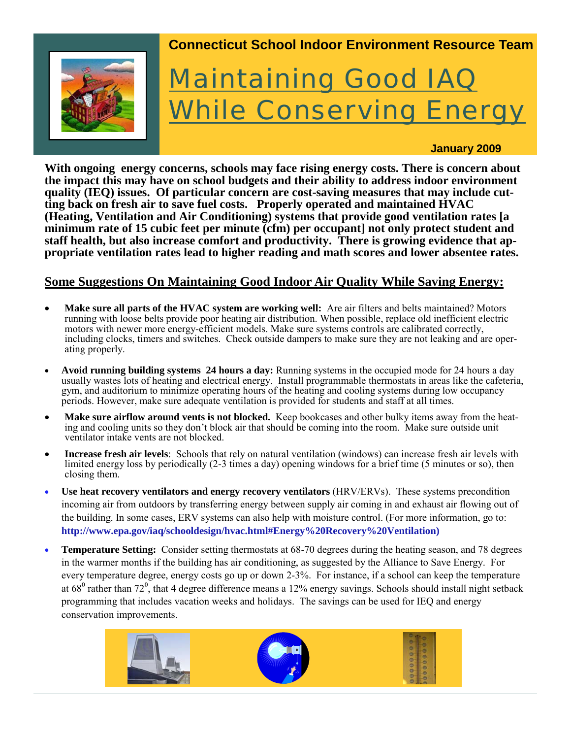

**With ongoing energy concerns, schools may face rising energy costs. There is concern about the impact this may have on school budgets and their ability to address indoor environment quality (IEQ) issues. Of particular concern are cost-saving measures that may include cutting back on fresh air to save fuel costs. Properly operated and maintained HVAC (Heating, Ventilation and Air Conditioning) systems that provide good ventilation rates [a minimum rate of 15 cubic feet per minute (cfm) per occupant] not only protect student and staff health, but also increase comfort and productivity. There is growing evidence that appropriate ventilation rates lead to higher reading and math scores and lower absentee rates.** 

#### **Some Suggestions On Maintaining Good Indoor Air Quality While Saving Energy:**

- **Make sure all parts of the HVAC system are working well:** Are air filters and belts maintained? Motors running with loose belts provide poor heating air distribution. When possible, replace old inefficient electric motors with newer more energy-efficient models. Make sure systems controls are calibrated correctly, including clocks, timers and switches. Check outside dampers to make sure they are not leaking and are operating properly.
- **Avoid running building systems 24 hours a day:** Running systems in the occupied mode for 24 hours a day usually wastes lots of heating and electrical energy. Install programmable thermostats in areas like the cafeteria, gym, and auditorium to minimize operating hours of the heating and cooling systems during low occupancy periods. However, make sure adequate ventilation is provided for students and staff at all times.
- **Make sure airflow around vents is not blocked.** Keep bookcases and other bulky items away from the heating and cooling units so they don't block air that should be coming into the room. Make sure outside unit ventilator intake vents are not blocked.
- **Increase fresh air levels**: Schools that rely on natural ventilation (windows) can increase fresh air levels with limited energy loss by periodically (2-3 times a day) opening windows for a brief time (5 minutes or so), then closing them.
- **Use heat recovery ventilators and energy recovery ventilators** (HRV/ERVs). These systems precondition incoming air from outdoors by transferring energy between supply air coming in and exhaust air flowing out of the building. In some cases, ERV systems can also help with moisture control. (For more information, go to: **http://www.epa.gov/iaq/schooldesign/hvac.html#Energy%20Recovery%20Ventilation)**
- **Temperature Setting:** Consider setting thermostats at 68-70 degrees during the heating season, and 78 degrees in the warmer months if the building has air conditioning, as suggested by the Alliance to Save Energy. For every temperature degree, energy costs go up or down 2-3%. For instance, if a school can keep the temperature at  $68^{\circ}$  rather than  $72^{\circ}$ , that 4 degree difference means a 12% energy savings. Schools should install night setback programming that includes vacation weeks and holidays. The savings can be used for IEQ and energy conservation improvements.

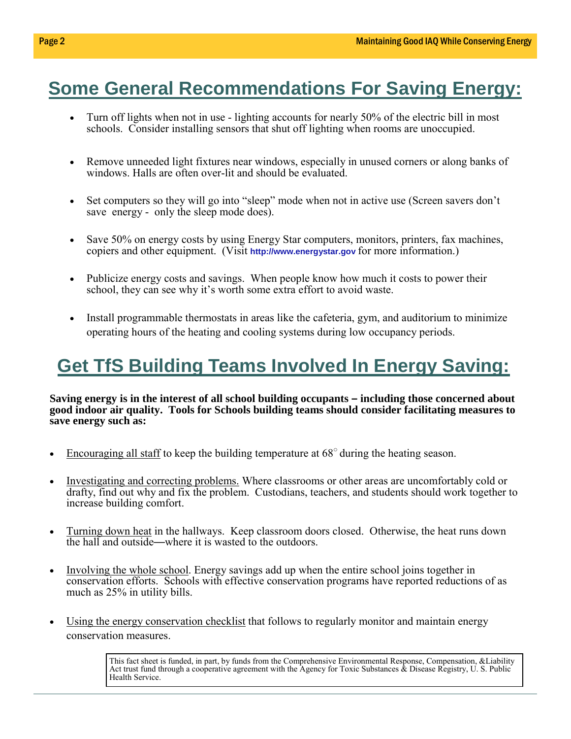# **Some General Recommendations For Saving Energy:**

- Turn off lights when not in use lighting accounts for nearly 50% of the electric bill in most schools. Consider installing sensors that shut off lighting when rooms are unoccupied.
- Remove unneeded light fixtures near windows, especially in unused corners or along banks of windows. Halls are often over-lit and should be evaluated.
- Set computers so they will go into "sleep" mode when not in active use (Screen savers don't save energy - only the sleep mode does).
- Save 50% on energy costs by using Energy Star computers, monitors, printers, fax machines, copiers and other equipment. (Visit **http://www.energystar.gov** for more information.)
- Publicize energy costs and savings. When people know how much it costs to power their school, they can see why it's worth some extra effort to avoid waste.
- Install programmable thermostats in areas like the cafeteria, gym, and auditorium to minimize operating hours of the heating and cooling systems during low occupancy periods.

# **Get TfS Building Teams Involved In Energy Saving:**

**Saving energy is in the interest of all school building occupants – including those concerned about good indoor air quality. Tools for Schools building teams should consider facilitating measures to save energy such as:** 

- Encouraging all staff to keep the building temperature at 68○ during the heating season.
- Investigating and correcting problems. Where classrooms or other areas are uncomfortably cold or drafty, find out why and fix the problem. Custodians, teachers, and students should work together to increase building comfort.
- Turning down heat in the hallways. Keep classroom doors closed. Otherwise, the heat runs down the hall and outside—where it is wasted to the outdoors.
- Involving the whole school. Energy savings add up when the entire school joins together in conservation efforts. Schools with effective conservation programs have reported reductions of as much as 25% in utility bills.
- Using the energy conservation checklist that follows to regularly monitor and maintain energy conservation measures.

This fact sheet is funded, in part, by funds from the Comprehensive Environmental Response, Compensation, &Liability Act trust fund through a cooperative agreement with the Agency for Toxic Substances & Disease Registry, U. S. Public Health Service.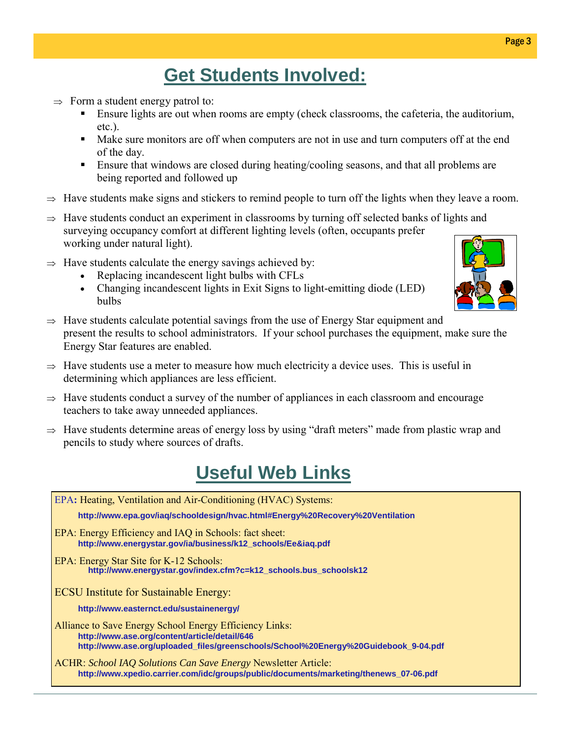## **Get Students Involved:**

- $\Rightarrow$  Form a student energy patrol to:
	- Ensure lights are out when rooms are empty (check classrooms, the cafeteria, the auditorium, etc.).
	- Make sure monitors are off when computers are not in use and turn computers off at the end of the day.
	- **Ensure that windows are closed during heating/cooling seasons, and that all problems are** being reported and followed up
- $\Rightarrow$  Have students make signs and stickers to remind people to turn off the lights when they leave a room.
- $\Rightarrow$  Have students conduct an experiment in classrooms by turning off selected banks of lights and surveying occupancy comfort at different lighting levels (often, occupants prefer working under natural light).
- $\Rightarrow$  Have students calculate the energy savings achieved by:
	- Replacing incandescent light bulbs with CFLs
	- Changing incandescent lights in Exit Signs to light-emitting diode (LED) bulbs



- $\Rightarrow$  Have students calculate potential savings from the use of Energy Star equipment and present the results to school administrators. If your school purchases the equipment, make sure the Energy Star features are enabled.
- $\Rightarrow$  Have students use a meter to measure how much electricity a device uses. This is useful in determining which appliances are less efficient.
- $\Rightarrow$  Have students conduct a survey of the number of appliances in each classroom and encourage teachers to take away unneeded appliances.
- $\Rightarrow$  Have students determine areas of energy loss by using "draft meters" made from plastic wrap and pencils to study where sources of drafts.

## **Useful Web Links**

| EPA: Heating, Ventilation and Air-Conditioning (HVAC) Systems:                                                                                                                                  |
|-------------------------------------------------------------------------------------------------------------------------------------------------------------------------------------------------|
| http://www.epa.gov/iag/schooldesign/hyac.html#Energy%20Recovery%20Ventilation                                                                                                                   |
| EPA: Energy Efficiency and IAQ in Schools: fact sheet:<br>http://www.energystar.gov/ia/business/k12_schools/Ee&iaq.pdf                                                                          |
| <b>EPA: Energy Star Site for K-12 Schools:</b><br>http://www.energystar.gov/index.cfm?c=k12_schools.bus_schoolsk12                                                                              |
| <b>ECSU</b> Institute for Sustainable Energy:                                                                                                                                                   |
| http://www.easternct.edu/sustainenergy/                                                                                                                                                         |
| Alliance to Save Energy School Energy Efficiency Links:<br>http://www.ase.org/content/article/detail/646<br>http://www.ase.org/uploaded_files/greenschools/School%20Energy%20Guidebook_9-04.pdf |
| <b>ACHR: School IAQ Solutions Can Save Energy Newsletter Article:</b><br>http://www.xpedio.carrier.com/idc/groups/public/documents/marketing/thenews_07-06.pdf                                  |